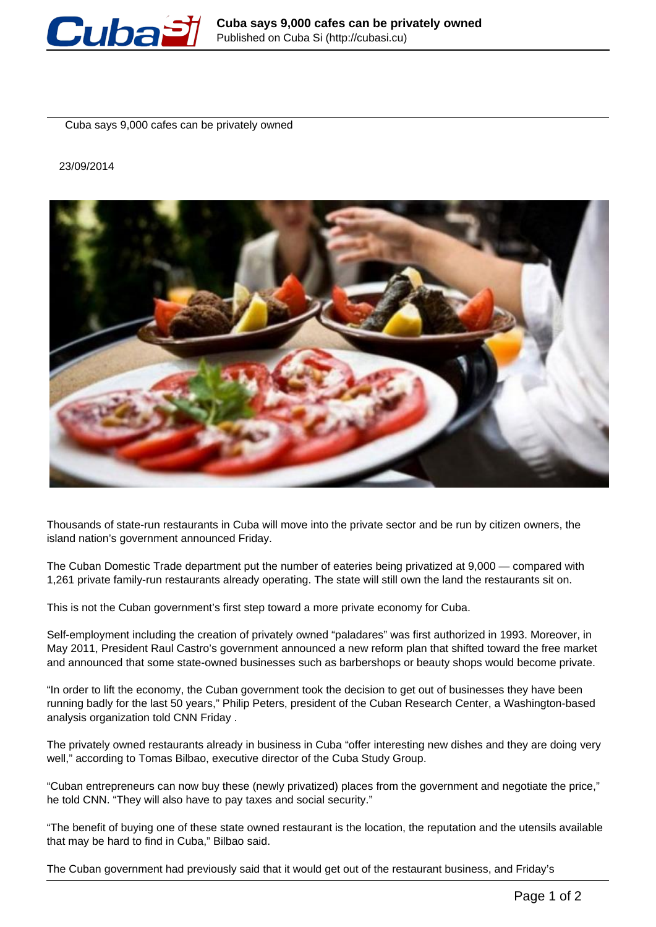

Cuba says 9,000 cafes can be privately owned

23/09/2014



Thousands of state-run restaurants in Cuba will move into the private sector and be run by citizen owners, the island nation's government announced Friday.

The Cuban Domestic Trade department put the number of eateries being privatized at 9,000 — compared with 1,261 private family-run restaurants already operating. The state will still own the land the restaurants sit on.

This is not the Cuban government's first step toward a more private economy for Cuba.

Self-employment including the creation of privately owned "paladares" was first authorized in 1993. Moreover, in May 2011, President Raul Castro's government announced a new reform plan that shifted toward the free market and announced that some state-owned businesses such as barbershops or beauty shops would become private.

"In order to lift the economy, the Cuban government took the decision to get out of businesses they have been running badly for the last 50 years," Philip Peters, president of the Cuban Research Center, a Washington-based analysis organization told CNN Friday .

The privately owned restaurants already in business in Cuba "offer interesting new dishes and they are doing very well," according to Tomas Bilbao, executive director of the Cuba Study Group.

"Cuban entrepreneurs can now buy these (newly privatized) places from the government and negotiate the price," he told CNN. "They will also have to pay taxes and social security."

"The benefit of buying one of these state owned restaurant is the location, the reputation and the utensils available that may be hard to find in Cuba," Bilbao said.

The Cuban government had previously said that it would get out of the restaurant business, and Friday's